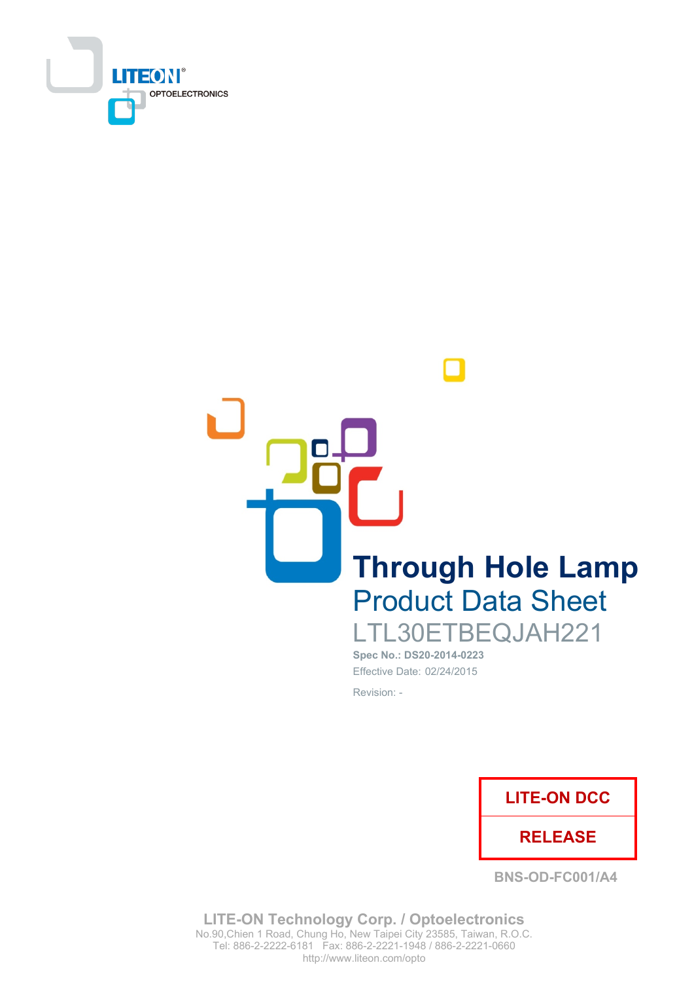

**Through Hole Lamp Product Data Sheet** LTL30ETBEQJAH221

Spec No.: DS20-2014-0223 Effective Date: 02/24/2015 Revision: -



**BNS-OD-FC001/A4** 

**LITE-ON Technology Corp. / Optoelectronics** No.90, Chien 1 Road, Chung Ho, New Taipei City 23585, Taiwan, R.O.C. Tel: 886-2-2222-6181 Fax: 886-2-2221-1948 / 886-2-2221-0660 http://www.liteon.com/opto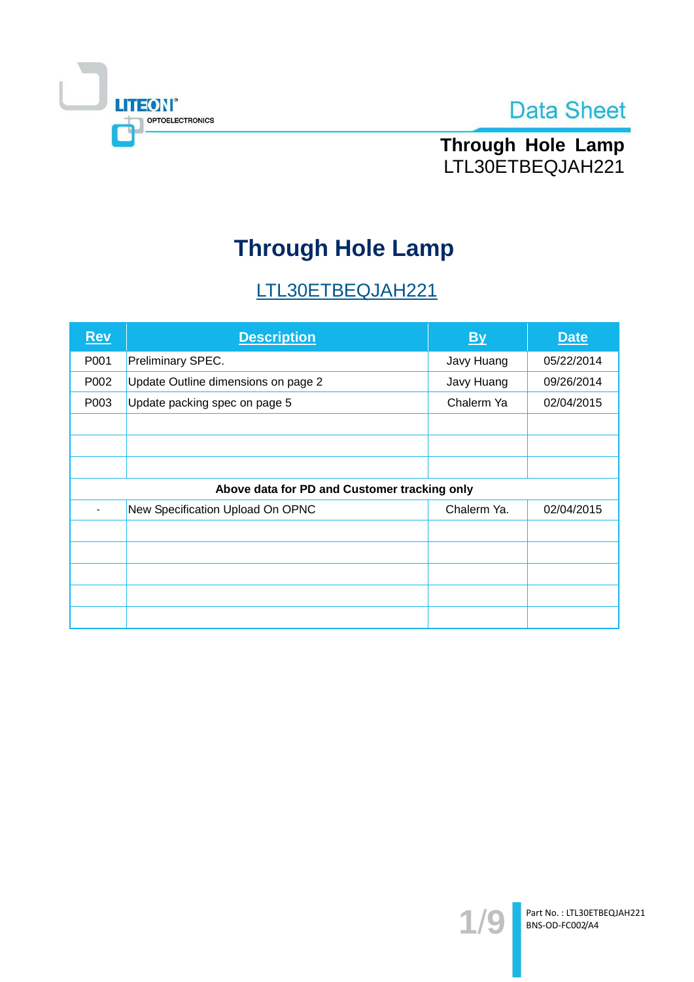



Through Hole Lamp LTL30ETBEQJAH221

# **Through Hole Lamp**

# LTL30ETBEQJAH221

| $Rev$ | <b>Description</b>                           | By          | <b>Date</b> |
|-------|----------------------------------------------|-------------|-------------|
| P001  | Preliminary SPEC.                            | Javy Huang  | 05/22/2014  |
| P002  | Update Outline dimensions on page 2          | Javy Huang  | 09/26/2014  |
| P003  | Update packing spec on page 5                | Chalerm Ya  | 02/04/2015  |
|       |                                              |             |             |
|       |                                              |             |             |
|       |                                              |             |             |
|       | Above data for PD and Customer tracking only |             |             |
|       | New Specification Upload On OPNC             | Chalerm Ya. | 02/04/2015  |
|       |                                              |             |             |
|       |                                              |             |             |
|       |                                              |             |             |
|       |                                              |             |             |
|       |                                              |             |             |

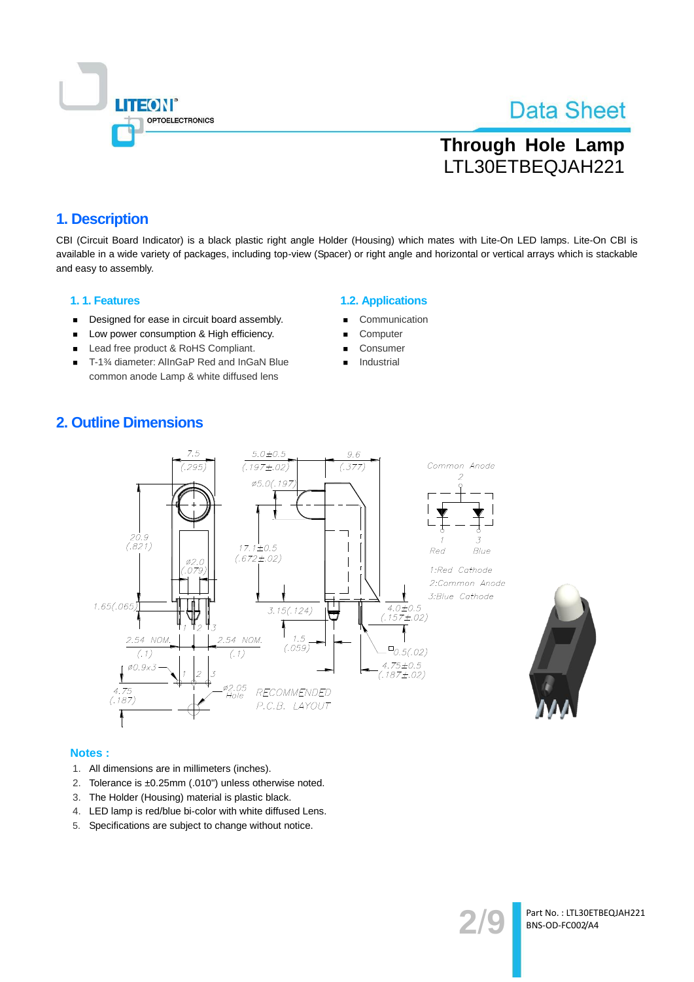

# **Through Hole Lamp** LTL30ETBEQJAH221

### 1. Description

CBI (Circuit Board Indicator) is a black plastic right angle Holder (Housing) which mates with Lite-On LED lamps. Lite-On CBI is available in a wide variety of packages, including top-view (Spacer) or right angle and horizontal or vertical arrays which is stackable and easy to assembly.

#### 1.1. Features

- Designed for ease in circuit board assembly.  $\blacksquare$
- Low power consumption & High efficiency.  $\blacksquare$
- Lead free product & RoHS Compliant.  $\blacksquare$
- Ĭ. T-1% diameter: AllnGaP Red and InGaN Blue common anode Lamp & white diffused lens

#### **1.2. Applications**

- Communication
- Computer
- Consumer
- Industrial

### **2. Outline Dimensions**





#### Notes:

- 1. All dimensions are in millimeters (inches).
- 2. Tolerance is ±0.25mm (.010") unless otherwise noted.
- 3. The Holder (Housing) material is plastic black.
- 4. LED lamp is red/blue bi-color with white diffused Lens.
- 5. Specifications are subject to change without notice.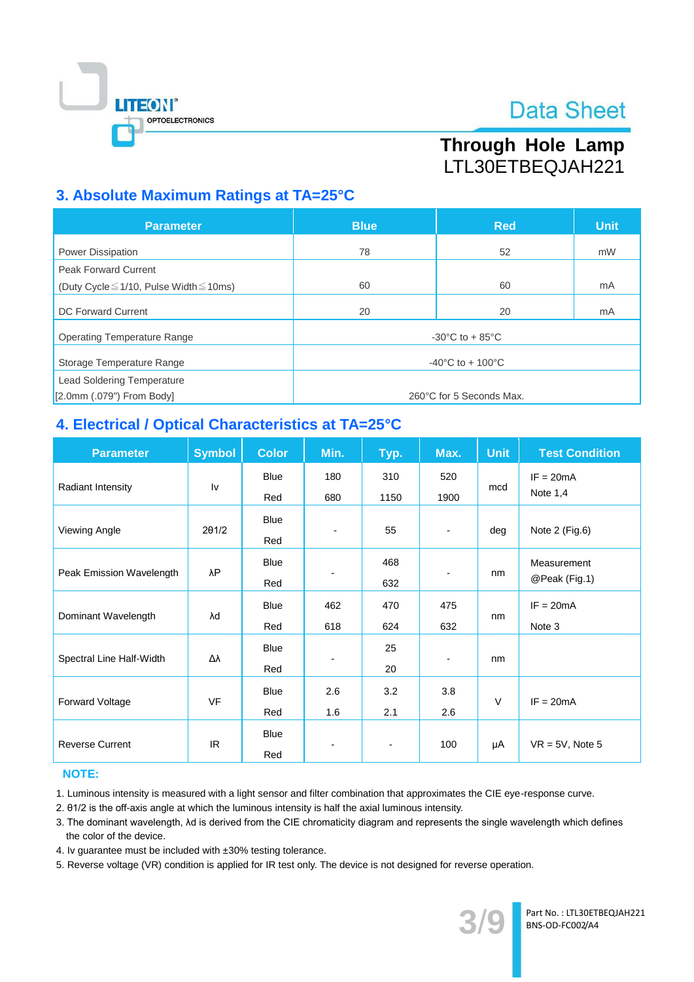

# Through Hole Lamp LTL30ETBEQJAH221

### 3. Absolute Maximum Ratings at TA=25°C

| <b>Parameter</b>                                  | <b>Blue</b>                           | <b>Red</b> | <b>Unit</b> |  |  |
|---------------------------------------------------|---------------------------------------|------------|-------------|--|--|
| <b>Power Dissipation</b>                          | 78                                    | 52         | mW          |  |  |
| <b>Peak Forward Current</b>                       |                                       |            |             |  |  |
| (Duty Cycle $\leq$ 1/10, Pulse Width $\leq$ 10ms) | 60                                    | 60         | mA          |  |  |
| DC Forward Current                                | 20                                    | 20         | mA          |  |  |
| <b>Operating Temperature Range</b>                | $-30^{\circ}$ C to $+85^{\circ}$ C    |            |             |  |  |
| Storage Temperature Range                         | $-40^{\circ}$ C to + 100 $^{\circ}$ C |            |             |  |  |
| <b>Lead Soldering Temperature</b>                 |                                       |            |             |  |  |
| $[2.0$ mm $(.079")$ From Body]                    | 260°C for 5 Seconds Max.              |            |             |  |  |

### 4. Electrical / Optical Characteristics at TA=25°C

| <b>Parameter</b>         | <b>Symbol</b> | <b>Color</b> | Min. | Typ.                     | Max.                     | <b>Unit</b> | <b>Test Condition</b> |
|--------------------------|---------------|--------------|------|--------------------------|--------------------------|-------------|-----------------------|
| Radiant Intensity        | Iv            | Blue         | 180  | 310                      | 520                      | mcd         | $IF = 20mA$           |
|                          |               | Red          | 680  | 1150                     | 1900                     |             | Note $1,4$            |
|                          |               | Blue         |      |                          |                          |             |                       |
| Viewing Angle            | 201/2         | Red          |      | 55                       | $\overline{\phantom{a}}$ | deg         | Note 2 (Fig.6)        |
|                          |               | Blue         |      | 468                      |                          | nm          | Measurement           |
| Peak Emission Wavelength | λP            | Red          |      | 632                      | $\blacksquare$           |             | @Peak (Fig.1)         |
|                          | λd            | Blue         | 462  | 470                      | 475                      | nm          | $IF = 20mA$           |
| Dominant Wavelength      |               | Red          | 618  | 624                      | 632                      |             | Note 3                |
|                          | Δλ            | Blue         |      | 25                       |                          | nm          |                       |
| Spectral Line Half-Width |               | Red          |      | 20                       | -                        |             |                       |
|                          | <b>VF</b>     | <b>Blue</b>  | 2.6  | 3.2                      | 3.8                      | $\vee$      |                       |
| Forward Voltage          |               | Red          | 1.6  | 2.1                      | 2.6                      |             | $IF = 20mA$           |
|                          |               | Blue         |      | $\overline{\phantom{a}}$ | 100                      | μA          |                       |
| <b>Reverse Current</b>   | IR.           | Red          |      |                          |                          |             | $VR = 5V$ , Note 5    |

#### **NOTE:**

1. Luminous intensity is measured with a light sensor and filter combination that approximates the CIE eye-response curve.

2. 01/2 is the off-axis angle at which the luminous intensity is half the axial luminous intensity.

3. The dominant wavelength, Ad is derived from the CIE chromaticity diagram and represents the single wavelength which defines the color of the device.

4. Iv quarantee must be included with ±30% testing tolerance.

5. Reverse voltage (VR) condition is applied for IR test only. The device is not designed for reverse operation.

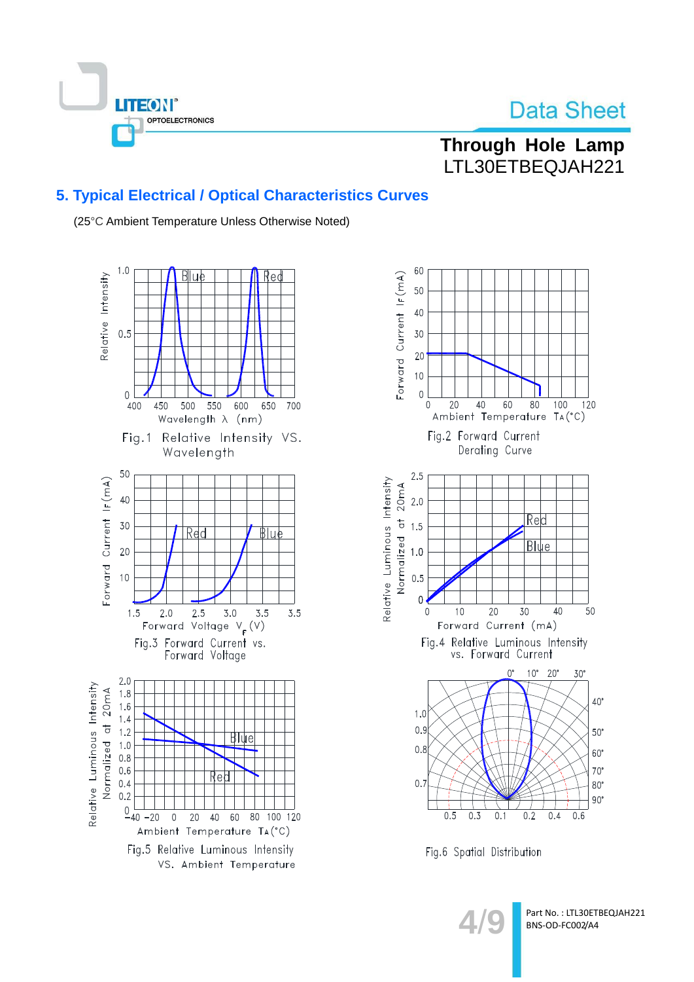

## Through Hole Lamp LTL30ETBEQJAH221

### 5. Typical Electrical / Optical Characteristics Curves

(25°C Ambient Temperature Unless Otherwise Noted)





Fig.6 Spatial Distribution

Part No.: LTL30ETBEQJAH221 BNS-OD-FC002/A4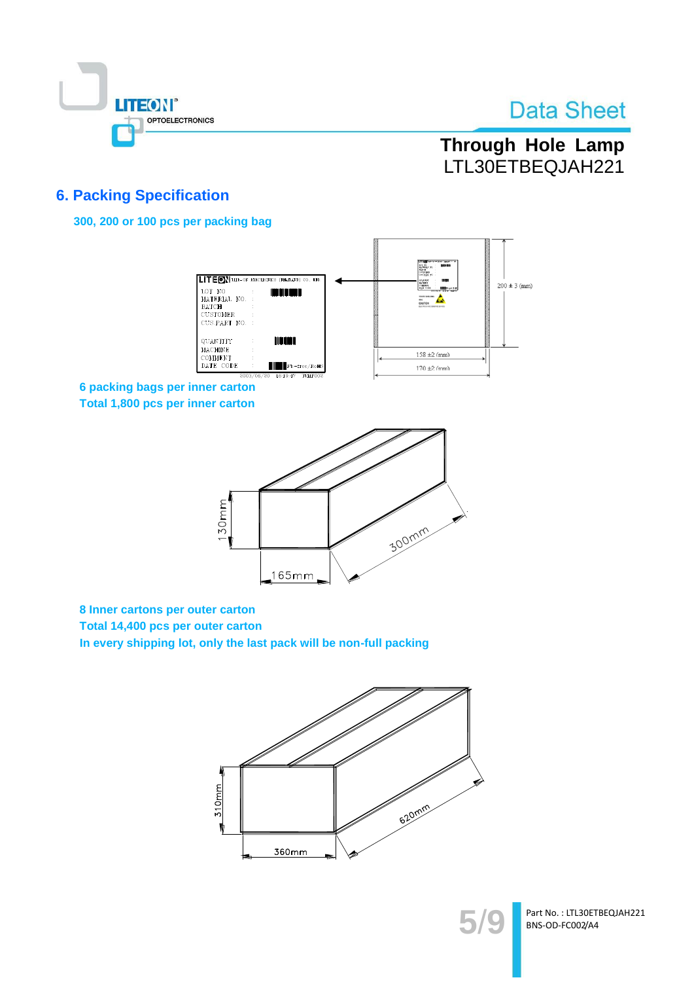

# Through Hole Lamp LTL30ETBEQJAH221

### **6. Packing Specification**

300, 200 or 100 pcs per packing bag



6 packing bags per inner carton Total 1,800 pcs per inner carton



8 Inner cartons per outer carton

Total 14,400 pcs per outer carton

In every shipping lot, only the last pack will be non-full packing





Part No.: LTL30ETBEQJAH221 BNS-OD-FC002/A4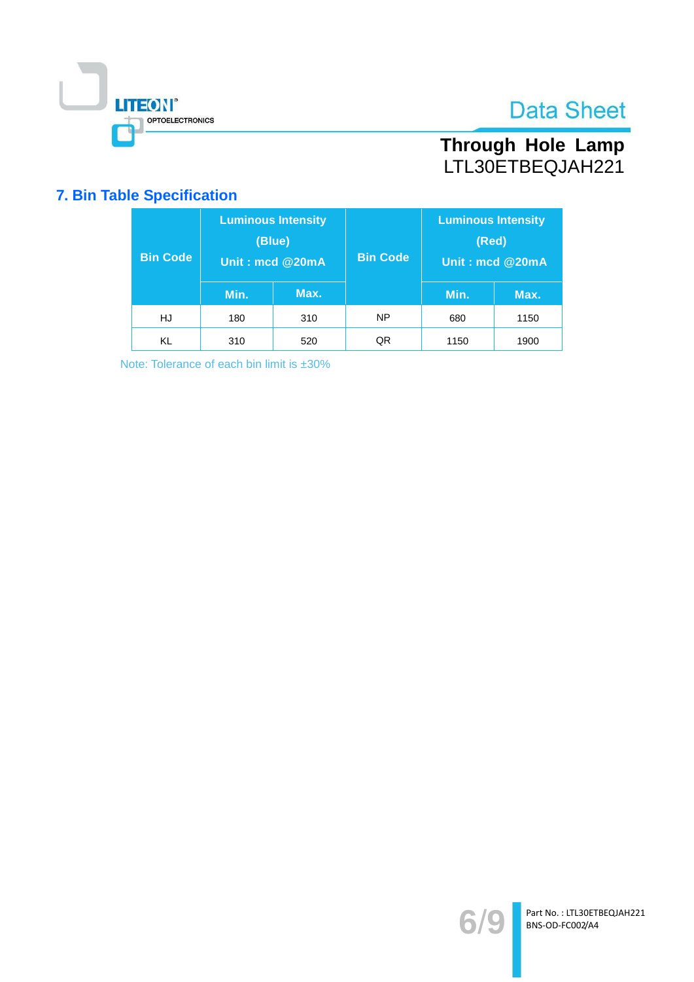

# Through Hole Lamp<br>LTL30ETBEQJAH221

### **7. Bin Table Specification**

| <b>Bin Code</b> | <b>Luminous Intensity</b><br>(Blue)<br>Unit: mcd @20mA |      | <b>Bin Code</b> | <b>Luminous Intensity</b><br>(Red)<br>Unit: mcd @20mA |      |
|-----------------|--------------------------------------------------------|------|-----------------|-------------------------------------------------------|------|
|                 | Min.                                                   | Max. |                 | Min.                                                  | Max. |
| HJ              | 180                                                    | 310  | NP              | 680                                                   | 1150 |
| KL              | 310                                                    | 520  | QR              | 1150                                                  | 1900 |

Note: Tolerance of each bin limit is ±30%

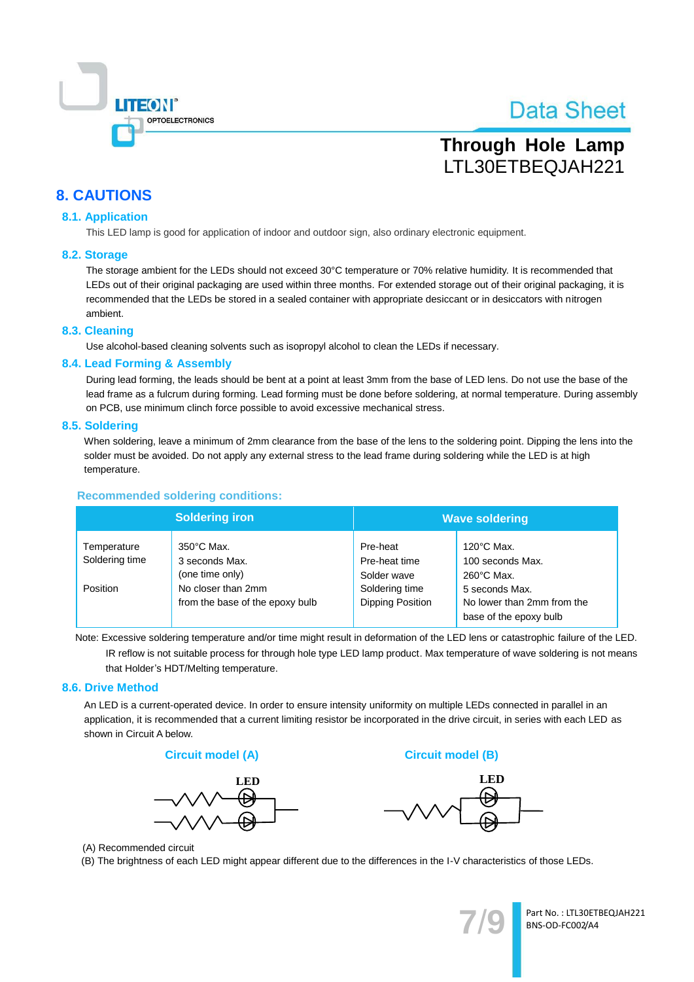

# **Through Hole Lamp** LTL30ETBEQJAH221

### **8. CAUTIONS**

#### **8.1. Application**

This LED lamp is good for application of indoor and outdoor sign, also ordinary electronic equipment.

#### 8.2. Storage

The storage ambient for the LEDs should not exceed 30°C temperature or 70% relative humidity. It is recommended that LEDs out of their original packaging are used within three months. For extended storage out of their original packaging, it is recommended that the LEDs be stored in a sealed container with appropriate desiccant or in desiccators with nitrogen ambient.

#### 8.3. Cleaning

Use alcohol-based cleaning solvents such as isopropyl alcohol to clean the LEDs if necessary.

#### 8.4. Lead Forming & Assembly

During lead forming, the leads should be bent at a point at least 3mm from the base of LED lens. Do not use the base of the lead frame as a fulcrum during forming. Lead forming must be done before soldering, at normal temperature. During assembly on PCB, use minimum clinch force possible to avoid excessive mechanical stress.

#### 8.5. Soldering

When soldering, leave a minimum of 2mm clearance from the base of the lens to the soldering point. Dipping the lens into the solder must be avoided. Do not apply any external stress to the lead frame during soldering while the LED is at high temperature.

#### **Recommended soldering conditions:**

|                               | <b>Soldering iron</b>                                     | <b>Wave soldering</b>                    |                                                                        |  |
|-------------------------------|-----------------------------------------------------------|------------------------------------------|------------------------------------------------------------------------|--|
| Temperature<br>Soldering time | $350^{\circ}$ C Max.<br>3 seconds Max.<br>(one time only) | Pre-heat<br>Pre-heat time<br>Solder wave | $120^{\circ}$ C Max.<br>100 seconds Max.<br>$260^{\circ}$ C Max.       |  |
| Position                      | No closer than 2mm<br>from the base of the epoxy bulb     | Soldering time<br>Dipping Position       | 5 seconds Max.<br>No lower than 2mm from the<br>base of the epoxy bulb |  |

Note: Excessive soldering temperature and/or time might result in deformation of the LED lens or catastrophic failure of the LED. IR reflow is not suitable process for through hole type LED lamp product. Max temperature of wave soldering is not means that Holder's HDT/Melting temperature.

#### 8.6. Drive Method

An LED is a current-operated device. In order to ensure intensity uniformity on multiple LEDs connected in parallel in an application, it is recommended that a current limiting resistor be incorporated in the drive circuit, in series with each LED as shown in Circuit A below.





**Circuit model (B)** 



(A) Recommended circuit

(B) The brightness of each LED might appear different due to the differences in the I-V characteristics of those LEDs.



Part No.: LTL30ETBEQJAH221 BNS-OD-FC002/A4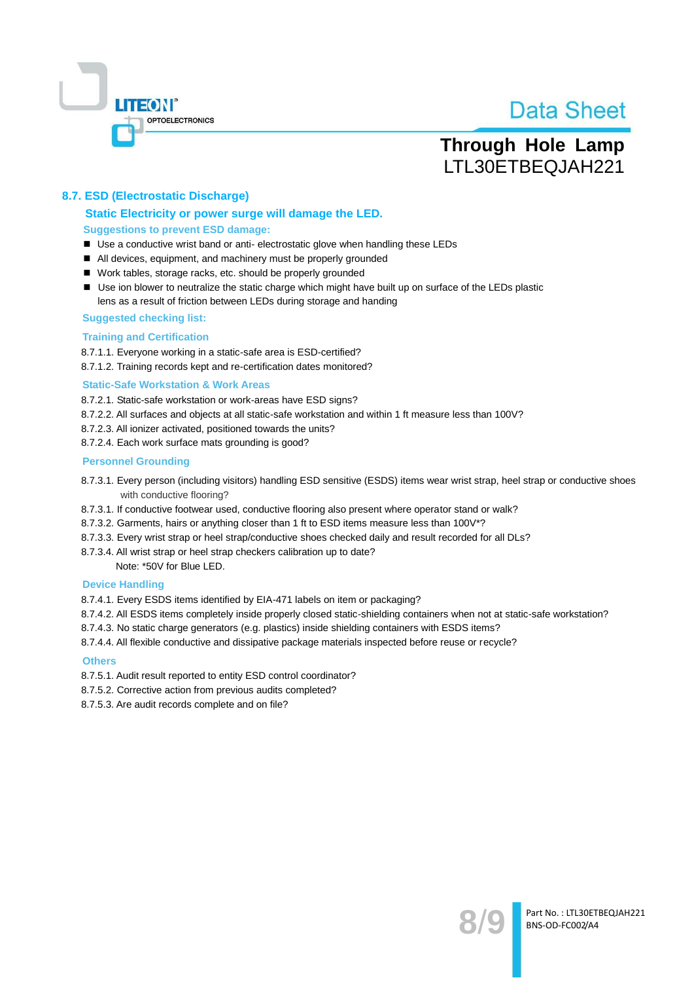

## **Through Hole Lamp** LTL30ETBEQJAH221

#### 8.7. ESD (Electrostatic Discharge)

#### Static Electricity or power surge will damage the LED. **Suggestions to prevent ESD damage:**

- Use a conductive wrist band or anti- electrostatic glove when handling these LEDs
- All devices, equipment, and machinery must be properly grounded
- Work tables, storage racks, etc. should be properly grounded
- Use ion blower to neutralize the static charge which might have built up on surface of the LEDs plastic lens as a result of friction between LEDs during storage and handing

#### **Suggested checking list:**

#### **Training and Certification**

8.7.1.1. Everyone working in a static-safe area is ESD-certified?

8.7.1.2. Training records kept and re-certification dates monitored?

#### **Static-Safe Workstation & Work Areas**

8.7.2.1. Static-safe workstation or work-areas have ESD signs?

- 8.7.2.2. All surfaces and objects at all static-safe workstation and within 1 ft measure less than 100V?
- 8.7.2.3. All ionizer activated, positioned towards the units?
- 8.7.2.4. Each work surface mats grounding is good?

#### **Personnel Grounding**

- 8.7.3.1. Every person (including visitors) handling ESD sensitive (ESDS) items wear wrist strap, heel strap or conductive shoes with conductive flooring?
- 8.7.3.1. If conductive footwear used, conductive flooring also present where operator stand or walk?
- 8.7.3.2. Garments, hairs or anything closer than 1 ft to ESD items measure less than 100V\*?
- 8.7.3.3. Every wrist strap or heel strap/conductive shoes checked daily and result recorded for all DLs?
- 8.7.3.4. All wrist strap or heel strap checkers calibration up to date?

Note: \*50V for Blue LED.

#### **Device Handling**

8.7.4.1. Every ESDS items identified by EIA-471 labels on item or packaging?

- 8.7.4.2. All ESDS items completely inside properly closed static-shielding containers when not at static-safe workstation?
- 8.7.4.3. No static charge generators (e.g. plastics) inside shielding containers with ESDS items?
- 8.7.4.4. All flexible conductive and dissipative package materials inspected before reuse or recycle?

#### **Others**

- 8.7.5.1. Audit result reported to entity ESD control coordinator?
- 8.7.5.2. Corrective action from previous audits completed?
- 8.7.5.3. Are audit records complete and on file?